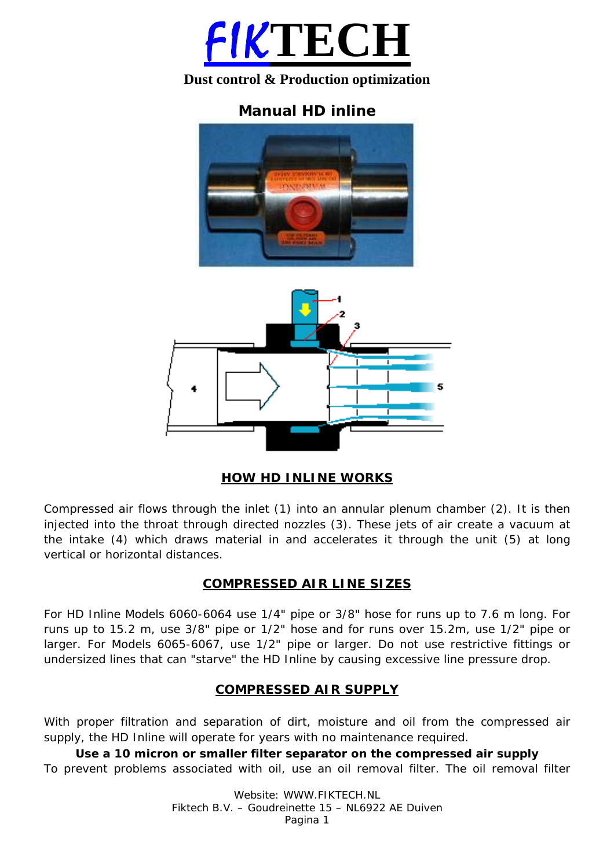

# **Dust control & Production optimization**

# **Manual HD inline**





## **HOW HD INLINE WORKS**

Compressed air flows through the inlet (1) into an annular plenum chamber (2). It is then injected into the throat through directed nozzles (3). These jets of air create a vacuum at the intake (4) which draws material in and accelerates it through the unit (5) at long vertical or horizontal distances.

## **COMPRESSED AIR LINE SIZES**

For HD Inline Models 6060-6064 use 1/4" pipe or 3/8" hose for runs up to 7.6 m long. For runs up to 15.2 m, use 3/8" pipe or 1/2" hose and for runs over 15.2m, use 1/2" pipe or larger. For Models 6065-6067, use 1/2" pipe or larger. Do not use restrictive fittings or undersized lines that can "starve" the HD Inline by causing excessive line pressure drop.

## **COMPRESSED AIR SUPPLY**

With proper filtration and separation of dirt, moisture and oil from the compressed air supply, the HD Inline will operate for years with no maintenance required.

**Use a 10 micron or smaller filter separator on the compressed air supply**  To prevent problems associated with oil, use an oil removal filter. The oil removal filter

> Website: WWW.FIKTECH.NL Fiktech B.V. – Goudreinette 15 – NL6922 AE Duiven Pagina 1